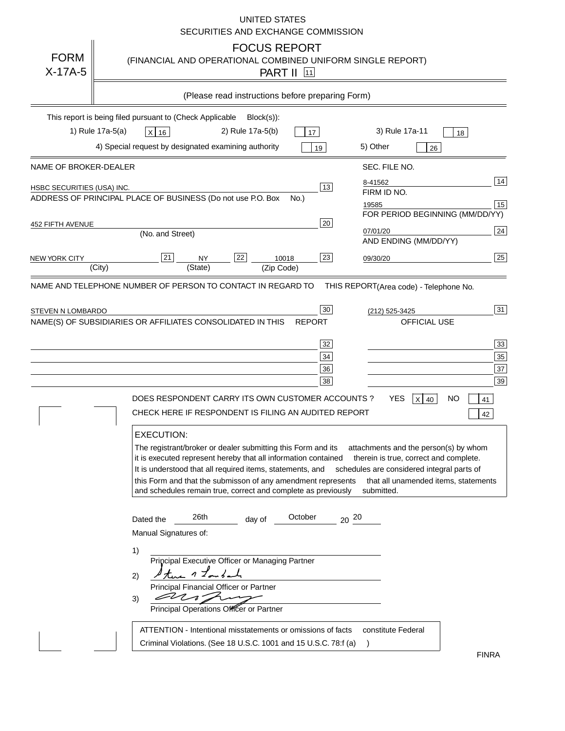### UNITED STATES SECURITIES AND EXCHANGE COMMISSION

| <b>FORM</b><br>$X-17A-5$   | <b>FOCUS REPORT</b><br>(FINANCIAL AND OPERATIONAL COMBINED UNIFORM SINGLE REPORT)<br><b>PART II</b> 11                                                                                                                                                                                                                                                                                                                                                                                                                                                                                                                                                                                                                                                                                                                                                                                                         |
|----------------------------|----------------------------------------------------------------------------------------------------------------------------------------------------------------------------------------------------------------------------------------------------------------------------------------------------------------------------------------------------------------------------------------------------------------------------------------------------------------------------------------------------------------------------------------------------------------------------------------------------------------------------------------------------------------------------------------------------------------------------------------------------------------------------------------------------------------------------------------------------------------------------------------------------------------|
|                            | (Please read instructions before preparing Form)                                                                                                                                                                                                                                                                                                                                                                                                                                                                                                                                                                                                                                                                                                                                                                                                                                                               |
|                            | This report is being filed pursuant to (Check Applicable<br>$Block(s)$ :<br>1) Rule 17a-5(a)<br>3) Rule 17a-11<br>2) Rule 17a-5(b)<br>X 16<br>17<br>18<br>4) Special request by designated examining authority<br>5) Other<br>19<br>26                                                                                                                                                                                                                                                                                                                                                                                                                                                                                                                                                                                                                                                                         |
| NAME OF BROKER-DEALER      | SEC. FILE NO.                                                                                                                                                                                                                                                                                                                                                                                                                                                                                                                                                                                                                                                                                                                                                                                                                                                                                                  |
| HSBC SECURITIES (USA) INC. | 14<br>8-41562<br>$\overline{13}$<br>FIRM ID NO.<br>ADDRESS OF PRINCIPAL PLACE OF BUSINESS (Do not use P.O. Box<br>No.)<br>$\boxed{15}$<br>19585<br>FOR PERIOD BEGINNING (MM/DD/YY)                                                                                                                                                                                                                                                                                                                                                                                                                                                                                                                                                                                                                                                                                                                             |
| 452 FIFTH AVENUE           | 20<br>$\sqrt{24}$<br>07/01/20<br>(No. and Street)<br>AND ENDING (MM/DD/YY)                                                                                                                                                                                                                                                                                                                                                                                                                                                                                                                                                                                                                                                                                                                                                                                                                                     |
| NEW YORK CITY              | $\overline{22}$<br>25<br> 21 <br>23<br><b>NY</b><br>10018<br>09/30/20<br>(State)<br>(City)<br>(Zip Code)                                                                                                                                                                                                                                                                                                                                                                                                                                                                                                                                                                                                                                                                                                                                                                                                       |
|                            | NAME AND TELEPHONE NUMBER OF PERSON TO CONTACT IN REGARD TO<br>THIS REPORT(Area code) - Telephone No.                                                                                                                                                                                                                                                                                                                                                                                                                                                                                                                                                                                                                                                                                                                                                                                                          |
| STEVEN N LOMBARDO          | 31<br>30<br>(212) 525-3425<br>OFFICIAL USE<br>NAME(S) OF SUBSIDIARIES OR AFFILIATES CONSOLIDATED IN THIS<br><b>REPORT</b><br>33 <sup>°</sup><br>32<br>$35\phantom{.0}$<br>$\frac{34}{5}$<br>37<br>36<br>39<br>38<br>DOES RESPONDENT CARRY ITS OWN CUSTOMER ACCOUNTS ?<br><b>YES</b><br>X 40<br>NO<br>41<br>CHECK HERE IF RESPONDENT IS FILING AN AUDITED REPORT<br>42<br><b>EXECUTION:</b><br>The registrant/broker or dealer submitting this Form and its<br>attachments and the person(s) by whom<br>it is executed represent hereby that all information contained<br>therein is true, correct and complete.<br>It is understood that all required items, statements, and schedules are considered integral parts of<br>this Form and that the submisson of any amendment represents<br>that all unamended items, statements<br>and schedules remain true, correct and complete as previously<br>submitted. |
|                            | 26th<br>October<br>$20^{20}$<br>day of<br>Dated the<br>Manual Signatures of:<br>1)<br>Principal Executive Officer or Managing Partner<br>twe 1 Long and<br>2)<br>Principal Financial Officer or Partner<br>EL 1.<br>3)<br>Principal Operations Officer or Partner<br>ATTENTION - Intentional misstatements or omissions of facts<br>constitute Federal<br>Criminal Violations. (See 18 U.S.C. 1001 and 15 U.S.C. 78:f (a)                                                                                                                                                                                                                                                                                                                                                                                                                                                                                      |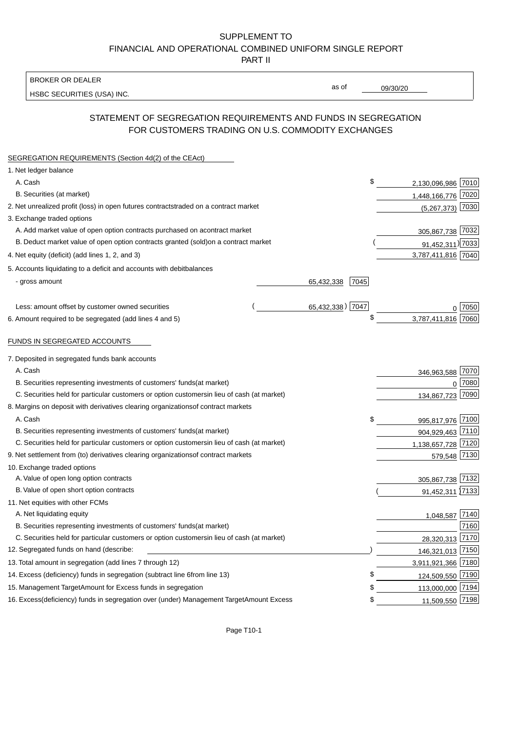### BROKER OR DEALER

HSBC SECURITIES (USA) INC.

09/30/20

as of

# STATEMENT OF SEGREGATION REQUIREMENTS AND FUNDS IN SEGREGATION FOR CUSTOMERS TRADING ON U.S. COMMODITY EXCHANGES

| SEGREGATION REQUIREMENTS (Section 4d(2) of the CEAct)                                          |      |                     |  |
|------------------------------------------------------------------------------------------------|------|---------------------|--|
| 1. Net ledger balance                                                                          |      |                     |  |
| A. Cash                                                                                        | \$   | 2,130,096,986 7010  |  |
| B. Securities (at market)                                                                      |      | 1,448,166,776 7020  |  |
| 2. Net unrealized profit (loss) in open futures contracts<br>traded on a contract market       |      | 7030<br>(5,267,373) |  |
| 3. Exchange traded options                                                                     |      |                     |  |
| A. Add market value of open option contracts purchased on a<br>contract market                 |      | 305,867,738 7032    |  |
| B. Deduct market value of open option contracts granted (sold)<br>on a contract market         |      | 91,452,311) 7033    |  |
| 4. Net equity (deficit) (add lines 1, 2, and 3)                                                |      | 3,787,411,816 7040  |  |
| 5. Accounts liquidating to a deficit and accounts with debit<br>balances                       |      |                     |  |
| - gross amount<br>65,432,338                                                                   | 7045 |                     |  |
| 65,432,338) 7047<br>Less: amount offset by customer owned securities                           |      | 0 7050              |  |
| 6. Amount required to be segregated (add lines 4 and 5)                                        | \$   | 3,787,411,816 7060  |  |
| FUNDS IN SEGREGATED ACCOUNTS                                                                   |      |                     |  |
| 7. Deposited in segregated funds bank accounts                                                 |      |                     |  |
| A. Cash                                                                                        |      | 7070<br>346,963,588 |  |
| B. Securities representing investments of customers' funds<br>(at market)                      |      | 7080<br>0           |  |
| C. Securities held for particular customers or option customers<br>in lieu of cash (at market) |      | 7090<br>134,867,723 |  |
| 8. Margins on deposit with derivatives clearing organizations<br>of contract markets           |      |                     |  |
| A. Cash                                                                                        | \$   | 995,817,976 7100    |  |
| B. Securities representing investments of customers' funds<br>(at market)                      |      | 904,929,463 7110    |  |
| C. Securities held for particular customers or option customers<br>in lieu of cash (at market) |      | 1,138,657,728 7120  |  |
| 9. Net settlement from (to) derivatives clearing organizations<br>of contract markets          |      | 579,548 7130        |  |
| 10. Exchange traded options                                                                    |      |                     |  |
| A. Value of open long option contracts                                                         |      | 305,867,738 7132    |  |
| B. Value of open short option contracts                                                        |      | 91,452,311 7133     |  |
| 11. Net equities with other FCMs                                                               |      |                     |  |
| A. Net liquidating equity                                                                      |      | 1,048,587 7140      |  |
| B. Securities representing investments of customers' funds<br>(at market)                      |      | 7160                |  |
| C. Securities held for particular customers or option customers<br>in lieu of cash (at market) |      | 28,320,313 7170     |  |
| 12. Segregated funds on hand (describe:                                                        |      | 146,321,013 7150    |  |
| 13. Total amount in segregation (add lines 7 through 12)                                       |      | 3,911,921,366 7180  |  |
| 14. Excess (deficiency) funds in segregation (subtract line 6<br>from line 13)                 | \$   | 124,509,550 7190    |  |
| 15. Management Target Amount for Excess funds in segregation                                   | \$   | 113,000,000 7194    |  |
| 16. Excess (deficiency) funds in segregation over (under) Management Target Amount Excess      | \$   | 11,509,550 7198     |  |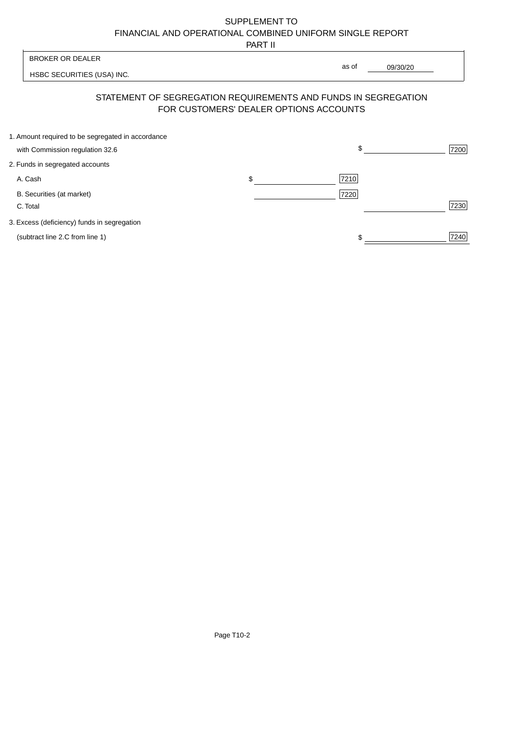PART II

|                                                                                      | 1 AB 11                                                                                                  |       |          |
|--------------------------------------------------------------------------------------|----------------------------------------------------------------------------------------------------------|-------|----------|
| <b>BROKER OR DEALER</b>                                                              |                                                                                                          | as of |          |
| HSBC SECURITIES (USA) INC.                                                           |                                                                                                          |       | 09/30/20 |
|                                                                                      | STATEMENT OF SEGREGATION REQUIREMENTS AND FUNDS IN SEGREGATION<br>FOR CUSTOMERS' DEALER OPTIONS ACCOUNTS |       |          |
| 1. Amount required to be segregated in accordance<br>with Commission regulation 32.6 |                                                                                                          | \$    | 7200     |
| 2. Funds in segregated accounts                                                      |                                                                                                          |       |          |
| A. Cash                                                                              | \$                                                                                                       | 7210  |          |
| B. Securities (at market)<br>C. Total                                                |                                                                                                          | 7220  | 7230     |
| 3. Excess (deficiency) funds in segregation                                          |                                                                                                          |       |          |
| (subtract line 2.C from line 1)                                                      |                                                                                                          |       | 7240     |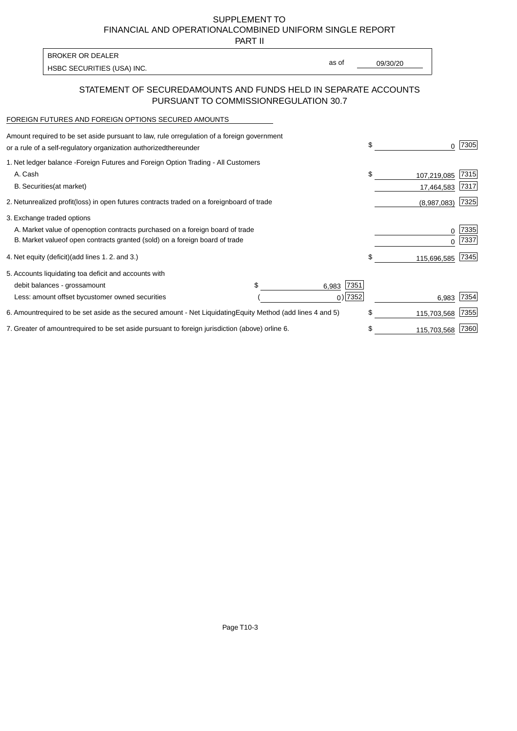PART II

| <b>BROKER OR DEALER</b>    |       |          |
|----------------------------|-------|----------|
|                            | as of | 09/30/20 |
| HSBC SECURITIES (USA) INC. |       |          |

### STATEMENT OF SECURED AMOUNTS AND FUNDS HELD IN SEPARATE ACCOUNTS PURSUANT TO COMMISSION REGULATION 30.7

#### FOREIGN FUTURES AND FOREIGN OPTIONS SECURED AMOUNTS

| Amount required to be set aside pursuant to law, rule or<br>regulation of a foreign government<br>or a rule of a self-regulatory organization authorized<br>thereunder                       |                                   | \$                         | <sup>0</sup>              | 7305         |
|----------------------------------------------------------------------------------------------------------------------------------------------------------------------------------------------|-----------------------------------|----------------------------|---------------------------|--------------|
| 1. Net ledger balance - Foreign Futures and Foreign Option Trading - All Customers<br>A. Cash<br><b>B.</b> Securities<br>(at market)                                                         |                                   | \$                         | 107,219,085<br>17,464,583 | 7315<br>7317 |
| unrealized profit (loss) in open futures contracts traded on a foreign<br>2. Net                                                                                                             | board of trade                    |                            | (8,987,083)               | 7325         |
| 3. Exchange traded options<br>A. Market value of open option contracts purchased on a foreign board of trade<br>B. Market value of open contracts granted (sold) on a foreign board of trade |                                   |                            | 0<br>$\Omega$             | 7335<br>7337 |
| (add lines 1.2. and 3.)<br>4. Net equity (deficit)                                                                                                                                           |                                   | \$                         | 115,696,585               | 7345         |
| 5. Accounts liquidating to a deficit and accounts with<br>debit balances - gross<br>amount<br>Less: amount offset by customer owned securities                                               |                                   | 7351<br>6,983<br>$0)$ 7352 | 6,983                     | 7354         |
| 6. Amount required to be set aside as the secured amount - Net Liquidating                                                                                                                   | Equity Method (add lines 4 and 5) | \$                         | 115,703,568               | 7355         |
| 7. Greater of amount required to be set aside pursuant to foreign jurisdiction (above) or                                                                                                    | line 6.                           |                            | 115,703,568               | 7360         |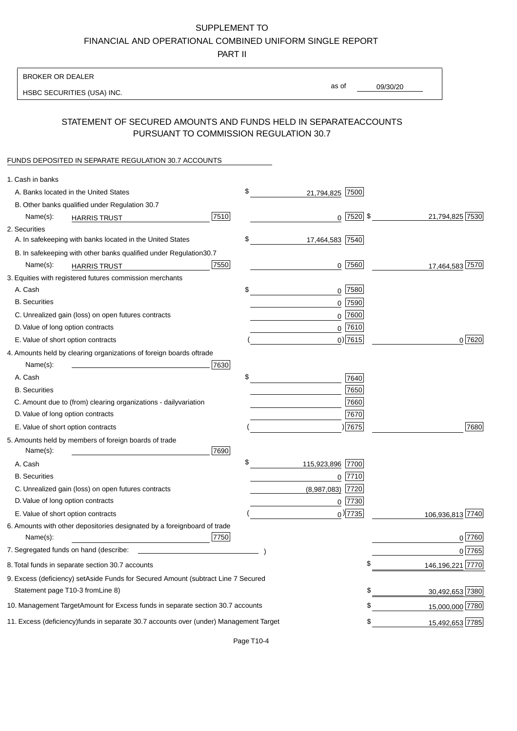PART II

| as of<br>09/30/20<br>HSBC SECURITIES (USA) INC.<br>STATEMENT OF SECURED AMOUNTS AND FUNDS HELD IN SEPARATE<br><b>ACCOUNTS</b><br>PURSUANT TO COMMISSION REGULATION 30.7<br>FUNDS DEPOSITED IN SEPARATE REGULATION 30.7 ACCOUNTS<br>1. Cash in banks<br>\$<br>A. Banks located in the United States<br>7500<br>21,794,825<br>B. Other banks qualified under Regulation 30.7<br>21,794,825 7530<br>7510<br>$0$  7520  \$<br>Name(s):<br><b>HARRIS TRUST</b><br>2. Securities<br>\$<br>A. In safekeeping with banks located in the United States<br>17,464,583 7540<br>B. In safekeeping with other banks qualified under Regulation<br>30.7<br>7550<br>0 7560<br>17,464,583 7570<br>Name(s):<br><b>HARRIS TRUST</b><br>3. Equities with registered futures commission merchants<br>A. Cash<br>\$<br>$0$ 7580<br><b>B.</b> Securities<br>$0$ 7590<br>C. Unrealized gain (loss) on open futures contracts<br>7600<br>0<br>D. Value of long option contracts<br>$0$ 7610<br>$0)$ 7615<br>0 7620<br>E. Value of short option contracts<br>4. Amounts held by clearing organizations of foreign boards of<br>trade<br>Name(s):<br>7630<br>\$<br>A. Cash<br>7640<br>7650<br><b>B.</b> Securities<br>7660<br>C. Amount due to (from) clearing organizations - daily<br>variation<br>D. Value of long option contracts<br>7670<br>)7675<br>7680<br>E. Value of short option contracts<br>5. Amounts held by members of foreign boards of trade<br>Name(s):<br>7690<br>\$<br>115,923,896 7700<br>A. Cash<br><b>B.</b> Securities<br>$0$  7710<br>C. Unrealized gain (loss) on open futures contracts<br>$(8,987,083)$ 7720<br>D. Value of long option contracts<br>$0$ 7730<br>$_0$ ) 7735<br>106,936,813 7740<br>E. Value of short option contracts<br>6. Amounts with other depositories designated by a foreign<br>board of trade<br>7750<br>07760<br>Name(s):<br>7. Segregated funds on hand (describe:<br>0 7765<br>\$<br>146, 196, 221 7770<br>8. Total funds in separate section 30.7 accounts<br>9. Excess (deficiency) set Aside Funds for Secured Amount (subtract Line 7 Secured<br>Statement page T10-3 from Line 8)<br>30,492,653 7380<br>\$<br>\$<br>10. Management Target Amount for Excess funds in separate section 30.7 accounts<br>15,000,000 7780<br>11. Excess (deficiency) funds in separate 30.7 accounts over (under) Management Target<br>15,492,653 7785<br>\$ | <b>BROKER OR DEALER</b> |  |  |  |
|-------------------------------------------------------------------------------------------------------------------------------------------------------------------------------------------------------------------------------------------------------------------------------------------------------------------------------------------------------------------------------------------------------------------------------------------------------------------------------------------------------------------------------------------------------------------------------------------------------------------------------------------------------------------------------------------------------------------------------------------------------------------------------------------------------------------------------------------------------------------------------------------------------------------------------------------------------------------------------------------------------------------------------------------------------------------------------------------------------------------------------------------------------------------------------------------------------------------------------------------------------------------------------------------------------------------------------------------------------------------------------------------------------------------------------------------------------------------------------------------------------------------------------------------------------------------------------------------------------------------------------------------------------------------------------------------------------------------------------------------------------------------------------------------------------------------------------------------------------------------------------------------------------------------------------------------------------------------------------------------------------------------------------------------------------------------------------------------------------------------------------------------------------------------------------------------------------------------------------------------------------------------------------------------------------------------------------------------------------------------------------|-------------------------|--|--|--|
|                                                                                                                                                                                                                                                                                                                                                                                                                                                                                                                                                                                                                                                                                                                                                                                                                                                                                                                                                                                                                                                                                                                                                                                                                                                                                                                                                                                                                                                                                                                                                                                                                                                                                                                                                                                                                                                                                                                                                                                                                                                                                                                                                                                                                                                                                                                                                                               |                         |  |  |  |
|                                                                                                                                                                                                                                                                                                                                                                                                                                                                                                                                                                                                                                                                                                                                                                                                                                                                                                                                                                                                                                                                                                                                                                                                                                                                                                                                                                                                                                                                                                                                                                                                                                                                                                                                                                                                                                                                                                                                                                                                                                                                                                                                                                                                                                                                                                                                                                               |                         |  |  |  |
|                                                                                                                                                                                                                                                                                                                                                                                                                                                                                                                                                                                                                                                                                                                                                                                                                                                                                                                                                                                                                                                                                                                                                                                                                                                                                                                                                                                                                                                                                                                                                                                                                                                                                                                                                                                                                                                                                                                                                                                                                                                                                                                                                                                                                                                                                                                                                                               |                         |  |  |  |
|                                                                                                                                                                                                                                                                                                                                                                                                                                                                                                                                                                                                                                                                                                                                                                                                                                                                                                                                                                                                                                                                                                                                                                                                                                                                                                                                                                                                                                                                                                                                                                                                                                                                                                                                                                                                                                                                                                                                                                                                                                                                                                                                                                                                                                                                                                                                                                               |                         |  |  |  |
|                                                                                                                                                                                                                                                                                                                                                                                                                                                                                                                                                                                                                                                                                                                                                                                                                                                                                                                                                                                                                                                                                                                                                                                                                                                                                                                                                                                                                                                                                                                                                                                                                                                                                                                                                                                                                                                                                                                                                                                                                                                                                                                                                                                                                                                                                                                                                                               |                         |  |  |  |
|                                                                                                                                                                                                                                                                                                                                                                                                                                                                                                                                                                                                                                                                                                                                                                                                                                                                                                                                                                                                                                                                                                                                                                                                                                                                                                                                                                                                                                                                                                                                                                                                                                                                                                                                                                                                                                                                                                                                                                                                                                                                                                                                                                                                                                                                                                                                                                               |                         |  |  |  |
|                                                                                                                                                                                                                                                                                                                                                                                                                                                                                                                                                                                                                                                                                                                                                                                                                                                                                                                                                                                                                                                                                                                                                                                                                                                                                                                                                                                                                                                                                                                                                                                                                                                                                                                                                                                                                                                                                                                                                                                                                                                                                                                                                                                                                                                                                                                                                                               |                         |  |  |  |
|                                                                                                                                                                                                                                                                                                                                                                                                                                                                                                                                                                                                                                                                                                                                                                                                                                                                                                                                                                                                                                                                                                                                                                                                                                                                                                                                                                                                                                                                                                                                                                                                                                                                                                                                                                                                                                                                                                                                                                                                                                                                                                                                                                                                                                                                                                                                                                               |                         |  |  |  |
|                                                                                                                                                                                                                                                                                                                                                                                                                                                                                                                                                                                                                                                                                                                                                                                                                                                                                                                                                                                                                                                                                                                                                                                                                                                                                                                                                                                                                                                                                                                                                                                                                                                                                                                                                                                                                                                                                                                                                                                                                                                                                                                                                                                                                                                                                                                                                                               |                         |  |  |  |
|                                                                                                                                                                                                                                                                                                                                                                                                                                                                                                                                                                                                                                                                                                                                                                                                                                                                                                                                                                                                                                                                                                                                                                                                                                                                                                                                                                                                                                                                                                                                                                                                                                                                                                                                                                                                                                                                                                                                                                                                                                                                                                                                                                                                                                                                                                                                                                               |                         |  |  |  |
|                                                                                                                                                                                                                                                                                                                                                                                                                                                                                                                                                                                                                                                                                                                                                                                                                                                                                                                                                                                                                                                                                                                                                                                                                                                                                                                                                                                                                                                                                                                                                                                                                                                                                                                                                                                                                                                                                                                                                                                                                                                                                                                                                                                                                                                                                                                                                                               |                         |  |  |  |
|                                                                                                                                                                                                                                                                                                                                                                                                                                                                                                                                                                                                                                                                                                                                                                                                                                                                                                                                                                                                                                                                                                                                                                                                                                                                                                                                                                                                                                                                                                                                                                                                                                                                                                                                                                                                                                                                                                                                                                                                                                                                                                                                                                                                                                                                                                                                                                               |                         |  |  |  |
|                                                                                                                                                                                                                                                                                                                                                                                                                                                                                                                                                                                                                                                                                                                                                                                                                                                                                                                                                                                                                                                                                                                                                                                                                                                                                                                                                                                                                                                                                                                                                                                                                                                                                                                                                                                                                                                                                                                                                                                                                                                                                                                                                                                                                                                                                                                                                                               |                         |  |  |  |
|                                                                                                                                                                                                                                                                                                                                                                                                                                                                                                                                                                                                                                                                                                                                                                                                                                                                                                                                                                                                                                                                                                                                                                                                                                                                                                                                                                                                                                                                                                                                                                                                                                                                                                                                                                                                                                                                                                                                                                                                                                                                                                                                                                                                                                                                                                                                                                               |                         |  |  |  |
|                                                                                                                                                                                                                                                                                                                                                                                                                                                                                                                                                                                                                                                                                                                                                                                                                                                                                                                                                                                                                                                                                                                                                                                                                                                                                                                                                                                                                                                                                                                                                                                                                                                                                                                                                                                                                                                                                                                                                                                                                                                                                                                                                                                                                                                                                                                                                                               |                         |  |  |  |
|                                                                                                                                                                                                                                                                                                                                                                                                                                                                                                                                                                                                                                                                                                                                                                                                                                                                                                                                                                                                                                                                                                                                                                                                                                                                                                                                                                                                                                                                                                                                                                                                                                                                                                                                                                                                                                                                                                                                                                                                                                                                                                                                                                                                                                                                                                                                                                               |                         |  |  |  |
|                                                                                                                                                                                                                                                                                                                                                                                                                                                                                                                                                                                                                                                                                                                                                                                                                                                                                                                                                                                                                                                                                                                                                                                                                                                                                                                                                                                                                                                                                                                                                                                                                                                                                                                                                                                                                                                                                                                                                                                                                                                                                                                                                                                                                                                                                                                                                                               |                         |  |  |  |
|                                                                                                                                                                                                                                                                                                                                                                                                                                                                                                                                                                                                                                                                                                                                                                                                                                                                                                                                                                                                                                                                                                                                                                                                                                                                                                                                                                                                                                                                                                                                                                                                                                                                                                                                                                                                                                                                                                                                                                                                                                                                                                                                                                                                                                                                                                                                                                               |                         |  |  |  |
|                                                                                                                                                                                                                                                                                                                                                                                                                                                                                                                                                                                                                                                                                                                                                                                                                                                                                                                                                                                                                                                                                                                                                                                                                                                                                                                                                                                                                                                                                                                                                                                                                                                                                                                                                                                                                                                                                                                                                                                                                                                                                                                                                                                                                                                                                                                                                                               |                         |  |  |  |
|                                                                                                                                                                                                                                                                                                                                                                                                                                                                                                                                                                                                                                                                                                                                                                                                                                                                                                                                                                                                                                                                                                                                                                                                                                                                                                                                                                                                                                                                                                                                                                                                                                                                                                                                                                                                                                                                                                                                                                                                                                                                                                                                                                                                                                                                                                                                                                               |                         |  |  |  |
|                                                                                                                                                                                                                                                                                                                                                                                                                                                                                                                                                                                                                                                                                                                                                                                                                                                                                                                                                                                                                                                                                                                                                                                                                                                                                                                                                                                                                                                                                                                                                                                                                                                                                                                                                                                                                                                                                                                                                                                                                                                                                                                                                                                                                                                                                                                                                                               |                         |  |  |  |
|                                                                                                                                                                                                                                                                                                                                                                                                                                                                                                                                                                                                                                                                                                                                                                                                                                                                                                                                                                                                                                                                                                                                                                                                                                                                                                                                                                                                                                                                                                                                                                                                                                                                                                                                                                                                                                                                                                                                                                                                                                                                                                                                                                                                                                                                                                                                                                               |                         |  |  |  |
|                                                                                                                                                                                                                                                                                                                                                                                                                                                                                                                                                                                                                                                                                                                                                                                                                                                                                                                                                                                                                                                                                                                                                                                                                                                                                                                                                                                                                                                                                                                                                                                                                                                                                                                                                                                                                                                                                                                                                                                                                                                                                                                                                                                                                                                                                                                                                                               |                         |  |  |  |
|                                                                                                                                                                                                                                                                                                                                                                                                                                                                                                                                                                                                                                                                                                                                                                                                                                                                                                                                                                                                                                                                                                                                                                                                                                                                                                                                                                                                                                                                                                                                                                                                                                                                                                                                                                                                                                                                                                                                                                                                                                                                                                                                                                                                                                                                                                                                                                               |                         |  |  |  |
|                                                                                                                                                                                                                                                                                                                                                                                                                                                                                                                                                                                                                                                                                                                                                                                                                                                                                                                                                                                                                                                                                                                                                                                                                                                                                                                                                                                                                                                                                                                                                                                                                                                                                                                                                                                                                                                                                                                                                                                                                                                                                                                                                                                                                                                                                                                                                                               |                         |  |  |  |
|                                                                                                                                                                                                                                                                                                                                                                                                                                                                                                                                                                                                                                                                                                                                                                                                                                                                                                                                                                                                                                                                                                                                                                                                                                                                                                                                                                                                                                                                                                                                                                                                                                                                                                                                                                                                                                                                                                                                                                                                                                                                                                                                                                                                                                                                                                                                                                               |                         |  |  |  |
|                                                                                                                                                                                                                                                                                                                                                                                                                                                                                                                                                                                                                                                                                                                                                                                                                                                                                                                                                                                                                                                                                                                                                                                                                                                                                                                                                                                                                                                                                                                                                                                                                                                                                                                                                                                                                                                                                                                                                                                                                                                                                                                                                                                                                                                                                                                                                                               |                         |  |  |  |
|                                                                                                                                                                                                                                                                                                                                                                                                                                                                                                                                                                                                                                                                                                                                                                                                                                                                                                                                                                                                                                                                                                                                                                                                                                                                                                                                                                                                                                                                                                                                                                                                                                                                                                                                                                                                                                                                                                                                                                                                                                                                                                                                                                                                                                                                                                                                                                               |                         |  |  |  |
|                                                                                                                                                                                                                                                                                                                                                                                                                                                                                                                                                                                                                                                                                                                                                                                                                                                                                                                                                                                                                                                                                                                                                                                                                                                                                                                                                                                                                                                                                                                                                                                                                                                                                                                                                                                                                                                                                                                                                                                                                                                                                                                                                                                                                                                                                                                                                                               |                         |  |  |  |
|                                                                                                                                                                                                                                                                                                                                                                                                                                                                                                                                                                                                                                                                                                                                                                                                                                                                                                                                                                                                                                                                                                                                                                                                                                                                                                                                                                                                                                                                                                                                                                                                                                                                                                                                                                                                                                                                                                                                                                                                                                                                                                                                                                                                                                                                                                                                                                               |                         |  |  |  |
|                                                                                                                                                                                                                                                                                                                                                                                                                                                                                                                                                                                                                                                                                                                                                                                                                                                                                                                                                                                                                                                                                                                                                                                                                                                                                                                                                                                                                                                                                                                                                                                                                                                                                                                                                                                                                                                                                                                                                                                                                                                                                                                                                                                                                                                                                                                                                                               |                         |  |  |  |
|                                                                                                                                                                                                                                                                                                                                                                                                                                                                                                                                                                                                                                                                                                                                                                                                                                                                                                                                                                                                                                                                                                                                                                                                                                                                                                                                                                                                                                                                                                                                                                                                                                                                                                                                                                                                                                                                                                                                                                                                                                                                                                                                                                                                                                                                                                                                                                               |                         |  |  |  |
|                                                                                                                                                                                                                                                                                                                                                                                                                                                                                                                                                                                                                                                                                                                                                                                                                                                                                                                                                                                                                                                                                                                                                                                                                                                                                                                                                                                                                                                                                                                                                                                                                                                                                                                                                                                                                                                                                                                                                                                                                                                                                                                                                                                                                                                                                                                                                                               |                         |  |  |  |
|                                                                                                                                                                                                                                                                                                                                                                                                                                                                                                                                                                                                                                                                                                                                                                                                                                                                                                                                                                                                                                                                                                                                                                                                                                                                                                                                                                                                                                                                                                                                                                                                                                                                                                                                                                                                                                                                                                                                                                                                                                                                                                                                                                                                                                                                                                                                                                               |                         |  |  |  |
|                                                                                                                                                                                                                                                                                                                                                                                                                                                                                                                                                                                                                                                                                                                                                                                                                                                                                                                                                                                                                                                                                                                                                                                                                                                                                                                                                                                                                                                                                                                                                                                                                                                                                                                                                                                                                                                                                                                                                                                                                                                                                                                                                                                                                                                                                                                                                                               |                         |  |  |  |
|                                                                                                                                                                                                                                                                                                                                                                                                                                                                                                                                                                                                                                                                                                                                                                                                                                                                                                                                                                                                                                                                                                                                                                                                                                                                                                                                                                                                                                                                                                                                                                                                                                                                                                                                                                                                                                                                                                                                                                                                                                                                                                                                                                                                                                                                                                                                                                               |                         |  |  |  |
|                                                                                                                                                                                                                                                                                                                                                                                                                                                                                                                                                                                                                                                                                                                                                                                                                                                                                                                                                                                                                                                                                                                                                                                                                                                                                                                                                                                                                                                                                                                                                                                                                                                                                                                                                                                                                                                                                                                                                                                                                                                                                                                                                                                                                                                                                                                                                                               |                         |  |  |  |
|                                                                                                                                                                                                                                                                                                                                                                                                                                                                                                                                                                                                                                                                                                                                                                                                                                                                                                                                                                                                                                                                                                                                                                                                                                                                                                                                                                                                                                                                                                                                                                                                                                                                                                                                                                                                                                                                                                                                                                                                                                                                                                                                                                                                                                                                                                                                                                               |                         |  |  |  |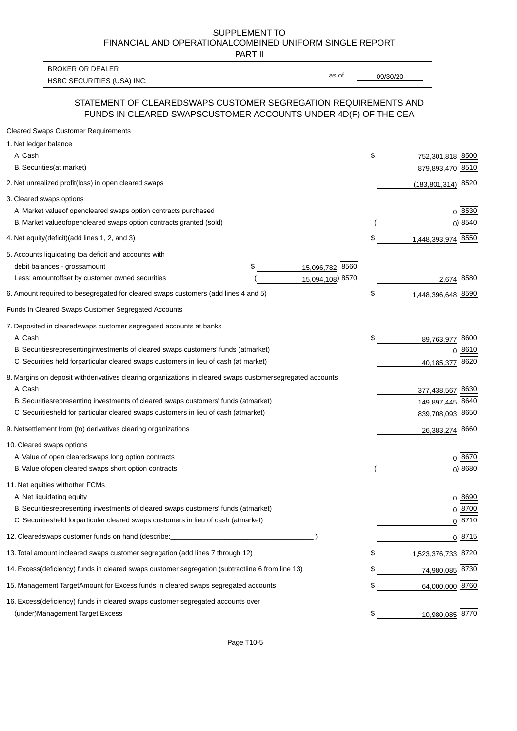PART II

HSBC SECURITIES (USA) INC. The contract of the contract of the contract of the contract of the contract of the contract of the contract of the contract of the contract of the contract of the contract of the contract of the BROKER OR DEALER

as of

### STATEMENT OF CLEARED SWAPS CUSTOMER SEGREGATION REQUIREMENTS AND FUNDS IN CLEARED SWAPS CUSTOMER ACCOUNTS UNDER 4D(F) OF THE CEA

| <b>Cleared Swaps Customer Requirements</b>                                                                  |    |                      |
|-------------------------------------------------------------------------------------------------------------|----|----------------------|
| 1. Net ledger balance                                                                                       |    |                      |
| A. Cash                                                                                                     | \$ | 752,301,818 8500     |
| B. Securities (at market)                                                                                   |    | 879,893,470 8510     |
| 2. Net unrealized profit (loss) in open cleared swaps                                                       |    | $(183,801,314)$ 8520 |
| 3. Cleared swaps options                                                                                    |    |                      |
| A. Market value of open cleared swaps option contracts purchased                                            |    | 0   8530             |
| B. Market value of open cleared swaps option contracts granted (sold)                                       |    | $0)$ 8540            |
| 4. Net equity (deficit) (add lines 1, 2, and 3)                                                             | \$ | 1,448,393,974 8550   |
| 5. Accounts liquidating to a deficit and accounts with                                                      |    |                      |
| 15,096,782 8560<br>debit balances - gross<br>\$<br>amount                                                   |    |                      |
| 15,094,108) 8570<br>Less: amount offset by customer owned securities                                        |    | 2,674 8580           |
| 6. Amount required to be segregated for cleared swaps customers (add lines 4 and 5)                         | S  | 1,448,396,648 8590   |
| Funds in Cleared Swaps Customer Segregated Accounts                                                         |    |                      |
| 7. Deposited in cleared swaps customer segregated accounts at banks                                         |    |                      |
| A. Cash                                                                                                     | \$ | 8600<br>89,763,977   |
| B. Securities representing investments of cleared swaps customers' funds (at market)                        |    | $0^{8610}$           |
| C. Securities held for particular cleared swaps customers in lieu of cash (at market)                       |    | 8620<br>40,185,377   |
| 8. Margins on deposit with derivatives clearing organizations in cleared swaps customer segregated accounts |    |                      |
| A. Cash                                                                                                     |    | 377,438,567 8630     |
| representing investments of cleared swaps customers' funds (at market)<br><b>B.</b> Securities              |    | 149,897,445 8640     |
| C. Securities held for particular cleared swaps customers in lieu of cash (at market)                       |    | 839,708,093 8650     |
| 9. Net settlement from (to) derivatives clearing organizations                                              |    | 26,383,274 8660      |
| 10. Cleared swaps options                                                                                   |    |                      |
| A. Value of open cleared swaps long option contracts                                                        |    | $0^{8670}$           |
| B. Value of open cleared swaps short option contracts                                                       |    | $0$ ) 8680           |
| 11. Net equities with other FCMs                                                                            |    |                      |
| A. Net liquidating equity                                                                                   |    | $0^{8690}$           |
| B. Securities representing investments of cleared swaps customers' funds (at market)                        |    | $0^{8700}$           |
| C. Securities held for particular cleared swaps customers in lieu of cash (at market)                       |    | 0 8710               |
| 12. Cleared swaps customer funds on hand (describe:                                                         |    | $0 \;  8715 $        |
| 13. Total amount in cleared swaps customer segregation (add lines 7 through 12)                             | S  | 1,523,376,733 8720   |
| 14. Excess (deficiency) funds in cleared swaps customer segregation (subtract line 6 from line 13)          |    | 74,980,085 8730      |
| 15. Management Target Amount for Excess funds in cleared swaps segregated accounts                          | \$ | 64,000,000 8760      |
| 16. Excess<br>(deficiency) funds in cleared swaps customer segregated accounts over                         |    |                      |
| <b>Management Target Excess</b><br>(under)                                                                  | \$ | 10,980,085 8770      |